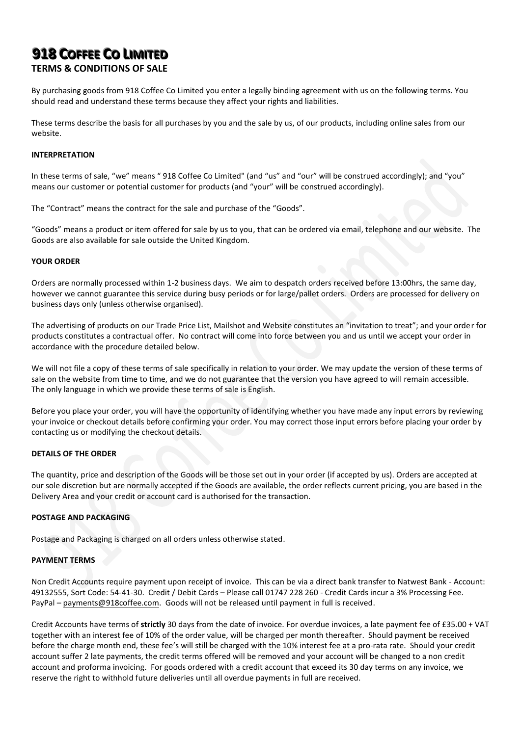# **918 COFFEE CO LIIMIITED**

# **TERMS & CONDITIONS OF SALE**

By purchasing goods from 918 Coffee Co Limited you enter a legally binding agreement with us on the following terms. You should read and understand these terms because they affect your rights and liabilities.

These terms describe the basis for all purchases by you and the sale by us, of our products, including online sales from our website.

## **INTERPRETATION**

In these terms of sale, "we" means " 918 Coffee Co Limited" (and "us" and "our" will be construed accordingly); and "you" means our customer or potential customer for products (and "your" will be construed accordingly).

The "Contract" means the contract for the sale and purchase of the "Goods".

"Goods" means a product or item offered for sale by us to you, that can be ordered via email, telephone and our website. The Goods are also available for sale outside the United Kingdom.

## **YOUR ORDER**

Orders are normally processed within 1-2 business days. We aim to despatch orders received before 13:00hrs, the same day, however we cannot guarantee this service during busy periods or for large/pallet orders. Orders are processed for delivery on business days only (unless otherwise organised).

The advertising of products on our Trade Price List, Mailshot and Website constitutes an "invitation to treat"; and your order for products constitutes a contractual offer. No contract will come into force between you and us until we accept your order in accordance with the procedure detailed below.

We will not file a copy of these terms of sale specifically in relation to your order. We may update the version of these terms of sale on the website from time to time, and we do not guarantee that the version you have agreed to will remain accessible. The only language in which we provide these terms of sale is English.

Before you place your order, you will have the opportunity of identifying whether you have made any input errors by reviewing your invoice or checkout details before confirming your order. You may correct those input errors before placing your order by contacting us or modifying the checkout details.

# **DETAILS OF THE ORDER**

The quantity, price and description of the Goods will be those set out in your order (if accepted by us). Orders are accepted at our sole discretion but are normally accepted if the Goods are available, the order reflects current pricing, you are based in the Delivery Area and your credit or account card is authorised for the transaction.

# **POSTAGE AND PACKAGING**

Postage and Packaging is charged on all orders unless otherwise stated.

## **PAYMENT TERMS**

Non Credit Accounts require payment upon receipt of invoice. This can be via a direct bank transfer to Natwest Bank - Account: 49132555, Sort Code: 54-41-30. Credit / Debit Cards – Please call 01747 228 260 - Credit Cards incur a 3% Processing Fee. PayPal – payments@918coffee.com. Goods will not be released until payment in full is received.

Credit Accounts have terms of **strictly** 30 days from the date of invoice. For overdue invoices, a late payment fee of £35.00 + VAT together with an interest fee of 10% of the order value, will be charged per month thereafter. Should payment be received before the charge month end, these fee's will still be charged with the 10% interest fee at a pro-rata rate. Should your credit account suffer 2 late payments, the credit terms offered will be removed and your account will be changed to a non credit account and proforma invoicing. For goods ordered with a credit account that exceed its 30 day terms on any invoice, we reserve the right to withhold future deliveries until all overdue payments in full are received.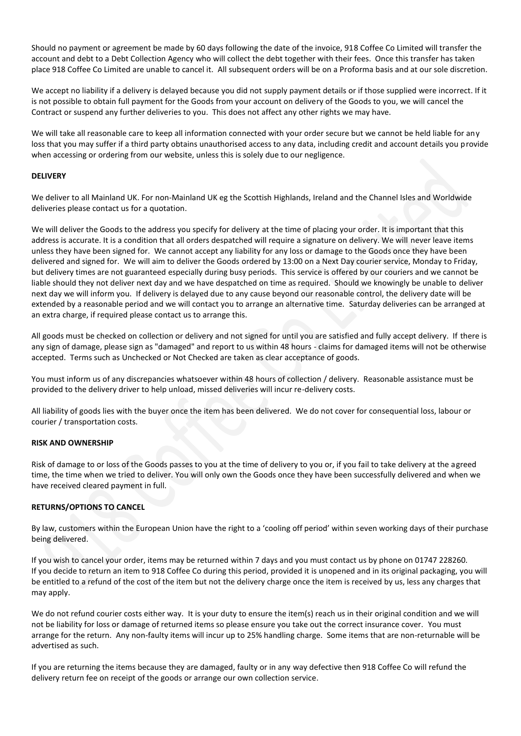Should no payment or agreement be made by 60 days following the date of the invoice, 918 Coffee Co Limited will transfer the account and debt to a Debt Collection Agency who will collect the debt together with their fees. Once this transfer has taken place 918 Coffee Co Limited are unable to cancel it. All subsequent orders will be on a Proforma basis and at our sole discretion.

We accept no liability if a delivery is delayed because you did not supply payment details or if those supplied were incorrect. If it is not possible to obtain full payment for the Goods from your account on delivery of the Goods to you, we will cancel the Contract or suspend any further deliveries to you. This does not affect any other rights we may have.

We will take all reasonable care to keep all information connected with your order secure but we cannot be held liable for any loss that you may suffer if a third party obtains unauthorised access to any data, including credit and account details you provide when accessing or ordering from our website, unless this is solely due to our negligence.

# **DELIVERY**

We deliver to all Mainland UK. For non-Mainland UK eg the Scottish Highlands, Ireland and the Channel Isles and Worldwide deliveries please contact us for a quotation.

We will deliver the Goods to the address you specify for delivery at the time of placing your order. It is important that this address is accurate. It is a condition that all orders despatched will require a signature on delivery. We will never leave items unless they have been signed for. We cannot accept any liability for any loss or damage to the Goods once they have been delivered and signed for. We will aim to deliver the Goods ordered by 13:00 on a Next Day courier service, Monday to Friday, but delivery times are not guaranteed especially during busy periods. This service is offered by our couriers and we cannot be liable should they not deliver next day and we have despatched on time as required. Should we knowingly be unable to deliver next day we will inform you. If delivery is delayed due to any cause beyond our reasonable control, the delivery date will be extended by a reasonable period and we will contact you to arrange an alternative time. Saturday deliveries can be arranged at an extra charge, if required please contact us to arrange this.

All goods must be checked on collection or delivery and not signed for until you are satisfied and fully accept delivery. If there is any sign of damage, please sign as "damaged" and report to us within 48 hours - claims for damaged items will not be otherwise accepted. Terms such as Unchecked or Not Checked are taken as clear acceptance of goods.

You must inform us of any discrepancies whatsoever within 48 hours of collection / delivery. Reasonable assistance must be provided to the delivery driver to help unload, missed deliveries will incur re-delivery costs.

All liability of goods lies with the buyer once the item has been delivered. We do not cover for consequential loss, labour or courier / transportation costs.

## **RISK AND OWNERSHIP**

Risk of damage to or loss of the Goods passes to you at the time of delivery to you or, if you fail to take delivery at the agreed time, the time when we tried to deliver. You will only own the Goods once they have been successfully delivered and when we have received cleared payment in full.

# **RETURNS/OPTIONS TO CANCEL**

By law, customers within the European Union have the right to a 'cooling off period' within seven working days of their purchase being delivered.

If you wish to cancel your order, items may be returned within 7 days and you must contact us by phone on 01747 228260. If you decide to return an item to 918 Coffee Co during this period, provided it is unopened and in its original packaging, you will be entitled to a refund of the cost of the item but not the delivery charge once the item is received by us, less any charges that may apply.

We do not refund courier costs either way. It is your duty to ensure the item(s) reach us in their original condition and we will not be liability for loss or damage of returned items so please ensure you take out the correct insurance cover. You must arrange for the return. Any non-faulty items will incur up to 25% handling charge. Some items that are non-returnable will be advertised as such.

If you are returning the items because they are damaged, faulty or in any way defective then 918 Coffee Co will refund the delivery return fee on receipt of the goods or arrange our own collection service.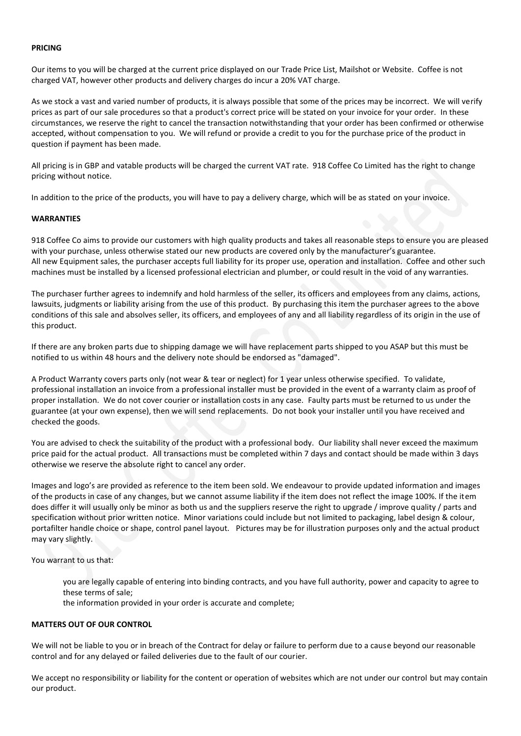#### **PRICING**

Our items to you will be charged at the current price displayed on our Trade Price List, Mailshot or Website. Coffee is not charged VAT, however other products and delivery charges do incur a 20% VAT charge.

As we stock a vast and varied number of products, it is always possible that some of the prices may be incorrect. We will verify prices as part of our sale procedures so that a product's correct price will be stated on your invoice for your order. In these circumstances, we reserve the right to cancel the transaction notwithstanding that your order has been confirmed or otherwise accepted, without compensation to you. We will refund or provide a credit to you for the purchase price of the product in question if payment has been made.

All pricing is in GBP and vatable products will be charged the current VAT rate. 918 Coffee Co Limited has the right to change pricing without notice.

In addition to the price of the products, you will have to pay a delivery charge, which will be as stated on your invoice.

#### **WARRANTIES**

918 Coffee Co aims to provide our customers with high quality products and takes all reasonable steps to ensure you are pleased with your purchase, unless otherwise stated our new products are covered only by the manufacturer's guarantee. All new Equipment sales, the purchaser accepts full liability for its proper use, operation and installation. Coffee and other such machines must be installed by a licensed professional electrician and plumber, or could result in the void of any warranties.

The purchaser further agrees to indemnify and hold harmless of the seller, its officers and employees from any claims, actions, lawsuits, judgments or liability arising from the use of this product. By purchasing this item the purchaser agrees to the above conditions of this sale and absolves seller, its officers, and employees of any and all liability regardless of its origin in the use of this product.

If there are any broken parts due to shipping damage we will have replacement parts shipped to you ASAP but this must be notified to us within 48 hours and the delivery note should be endorsed as "damaged".

A Product Warranty covers parts only (not wear & tear or neglect) for 1 year unless otherwise specified. To validate, professional installation an invoice from a professional installer must be provided in the event of a warranty claim as proof of proper installation. We do not cover courier or installation costs in any case. Faulty parts must be returned to us under the guarantee (at your own expense), then we will send replacements. Do not book your installer until you have received and checked the goods.

You are advised to check the suitability of the product with a professional body. Our liability shall never exceed the maximum price paid for the actual product. All transactions must be completed within 7 days and contact should be made within 3 days otherwise we reserve the absolute right to cancel any order.

Images and logo's are provided as reference to the item been sold. We endeavour to provide updated information and images of the products in case of any changes, but we cannot assume liability if the item does not reflect the image 100%. If the item does differ it will usually only be minor as both us and the suppliers reserve the right to upgrade / improve quality / parts and specification without prior written notice. Minor variations could include but not limited to packaging, label design & colour, portafilter handle choice or shape, control panel layout. Pictures may be for illustration purposes only and the actual product may vary slightly.

You warrant to us that:

you are legally capable of entering into binding contracts, and you have full authority, power and capacity to agree to these terms of sale;

the information provided in your order is accurate and complete;

#### **MATTERS OUT OF OUR CONTROL**

We will not be liable to you or in breach of the Contract for delay or failure to perform due to a cause beyond our reasonable control and for any delayed or failed deliveries due to the fault of our courier.

We accept no responsibility or liability for the content or operation of websites which are not under our control but may contain our product.